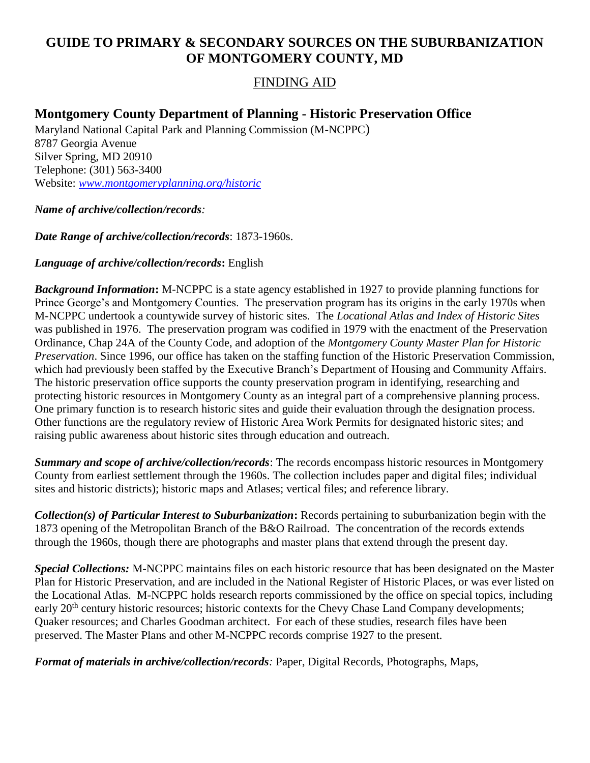# **GUIDE TO PRIMARY & SECONDARY SOURCES ON THE SUBURBANIZATION OF MONTGOMERY COUNTY, MD**

## FINDING AID

# **Montgomery County Department of Planning - Historic Preservation Office**

Maryland National Capital Park and Planning Commission (M-NCPPC) 8787 Georgia Avenue Silver Spring, MD 20910 Telephone: (301) 563-3400 Website: *[www.montgomeryplanning.org/historic](http://www.montgomeryplanning.org/historic)*

#### *Name of archive/collection/records:*

*Date Range of archive/collection/records*: 1873-1960s.

### *Language of archive/collection/records***:** English

*Background Information***:** M-NCPPC is a state agency established in 1927 to provide planning functions for Prince George's and Montgomery Counties. The preservation program has its origins in the early 1970s when M-NCPPC undertook a countywide survey of historic sites. The *Locational Atlas and Index of Historic Sites* was published in 1976. The preservation program was codified in 1979 with the enactment of the Preservation Ordinance, Chap 24A of the County Code, and adoption of the *Montgomery County Master Plan for Historic Preservation*. Since 1996, our office has taken on the staffing function of the Historic Preservation Commission, which had previously been staffed by the Executive Branch's Department of Housing and Community Affairs. The historic preservation office supports the county preservation program in identifying, researching and protecting historic resources in Montgomery County as an integral part of a comprehensive planning process. One primary function is to research historic sites and guide their evaluation through the designation process. Other functions are the regulatory review of Historic Area Work Permits for designated historic sites; and raising public awareness about historic sites through education and outreach.

*Summary and scope of archive/collection/records*: The records encompass historic resources in Montgomery County from earliest settlement through the 1960s. The collection includes paper and digital files; individual sites and historic districts); historic maps and Atlases; vertical files; and reference library.

*Collection(s) of Particular Interest to Suburbanization***:** Records pertaining to suburbanization begin with the 1873 opening of the Metropolitan Branch of the B&O Railroad. The concentration of the records extends through the 1960s, though there are photographs and master plans that extend through the present day.

*Special Collections:* M-NCPPC maintains files on each historic resource that has been designated on the Master Plan for Historic Preservation, and are included in the National Register of Historic Places, or was ever listed on the Locational Atlas. M-NCPPC holds research reports commissioned by the office on special topics, including early 20<sup>th</sup> century historic resources; historic contexts for the Chevy Chase Land Company developments; Quaker resources; and Charles Goodman architect. For each of these studies, research files have been preserved. The Master Plans and other M-NCPPC records comprise 1927 to the present.

*Format of materials in archive/collection/records:* Paper, Digital Records, Photographs, Maps,